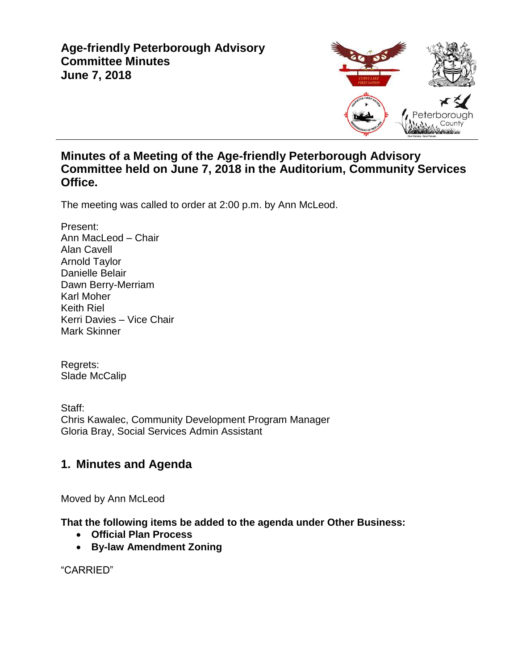

## **Minutes of a Meeting of the Age-friendly Peterborough Advisory Committee held on June 7, 2018 in the Auditorium, Community Services Office.**

The meeting was called to order at 2:00 p.m. by Ann McLeod.

Present: Ann MacLeod – Chair Alan Cavell Arnold Taylor Danielle Belair Dawn Berry-Merriam Karl Moher Keith Riel Kerri Davies – Vice Chair Mark Skinner

Regrets: Slade McCalip

Staff: Chris Kawalec, Community Development Program Manager Gloria Bray, Social Services Admin Assistant

# **1. Minutes and Agenda**

Moved by Ann McLeod

**That the following items be added to the agenda under Other Business:**

- **Official Plan Process**
- **By-law Amendment Zoning**

"CARRIED"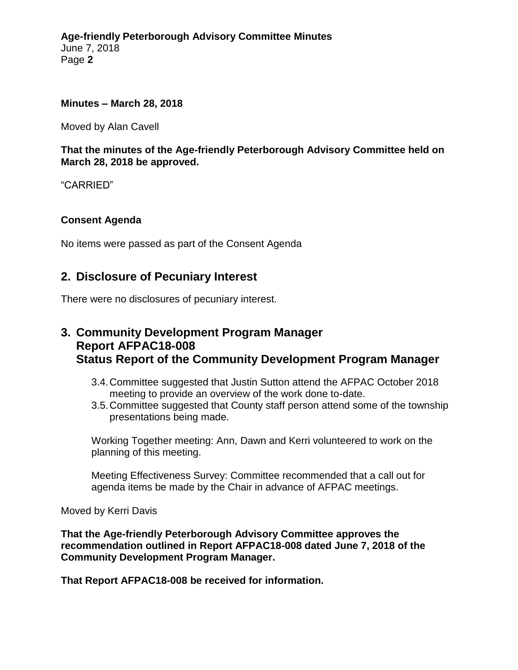#### **Minutes – March 28, 2018**

Moved by Alan Cavell

**That the minutes of the Age-friendly Peterborough Advisory Committee held on March 28, 2018 be approved.**

"CARRIED"

### **Consent Agenda**

No items were passed as part of the Consent Agenda

### **2. Disclosure of Pecuniary Interest**

There were no disclosures of pecuniary interest.

## **3. Community Development Program Manager Report AFPAC18-008 Status Report of the Community Development Program Manager**

- 3.4.Committee suggested that Justin Sutton attend the AFPAC October 2018 meeting to provide an overview of the work done to-date.
- 3.5.Committee suggested that County staff person attend some of the township presentations being made.

Working Together meeting: Ann, Dawn and Kerri volunteered to work on the planning of this meeting.

Meeting Effectiveness Survey: Committee recommended that a call out for agenda items be made by the Chair in advance of AFPAC meetings.

Moved by Kerri Davis

**That the Age-friendly Peterborough Advisory Committee approves the recommendation outlined in Report AFPAC18-008 dated June 7, 2018 of the Community Development Program Manager.**

**That Report AFPAC18-008 be received for information.**